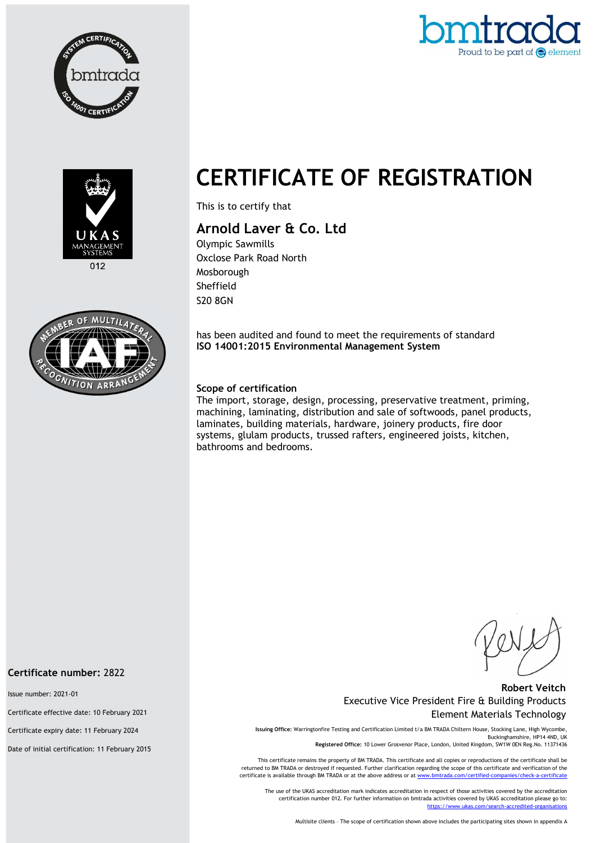





 $012$ 



# CERTIFICATE OF REGISTRATION

This is to certify that

# Arnold Laver & Co. Ltd

Olympic Sawmills Oxclose Park Road North Mosborough Sheffield S20 8GN

has been audited and found to meet the requirements of standard ISO 14001:2015 Environmental Management System

### Scope of certification

The import, storage, design, processing, preservative treatment, priming, machining, laminating, distribution and sale of softwoods, panel products, laminates, building materials, hardware, joinery products, fire door systems, glulam products, trussed rafters, engineered joists, kitchen, bathrooms and bedrooms.

#### Robert Veitch Executive Vice President Fire & Building Products Element Materials Technology

Issuing Office: Warringtonfire Testing and Certification Limited t/a BM TRADA Chiltern House, Stocking Lane, High Wycombe, Buckinghamshire, HP14 4ND, UK Registered Office: 10 Lower Grosvenor Place, London, United Kingdom, SW1W 0EN Reg.No. 11371436

This certificate remains the property of BM TRADA. This certificate and all copies or reproductions of the certificate shall be returned to BM TRADA or destroyed if requested. Further clarification regarding the scope of this certificate and verification of the certificate is available through BM TRADA or at the above address or at www.

The use of the UKAS accreditation mark indicates accreditation in respect of those activities covered by the accreditation certification number 012. For further information on bmtrada activities covered by UKAS accreditation please go to: https://www.ukas.com/search-accredited-organi

Multisite clients – The scope of certification shown above includes the participating sites shown in appendix A

#### Certificate number: 2822

Issue number: 2021-01

Certificate effective date: 10 February 2021

Certificate expiry date: 11 February 2024

Date of initial certification: 11 February 2015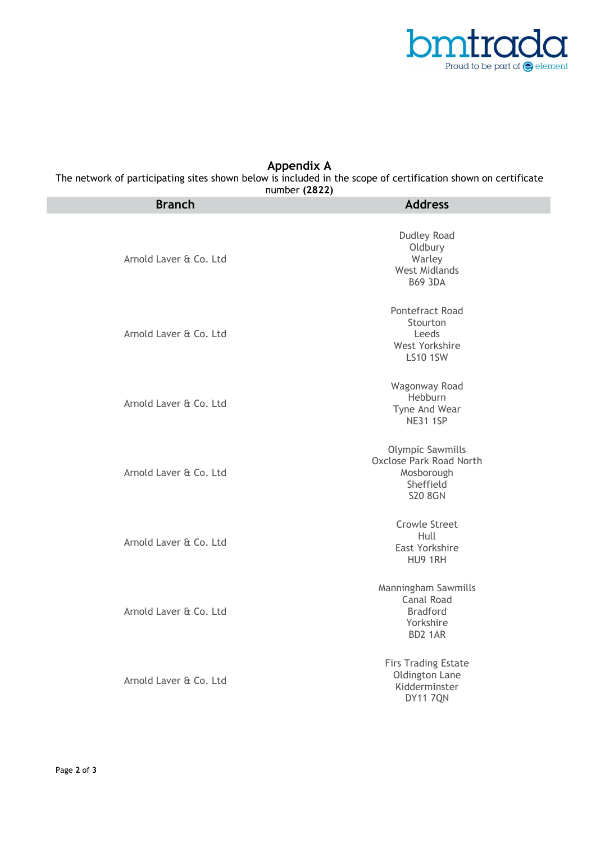

## Appendix A

The network of participating sites shown below is included in the scope of certification shown on certificate number (2822)

| <b>Branch</b>          | <b>Address</b>                                                                                         |
|------------------------|--------------------------------------------------------------------------------------------------------|
| Arnold Laver & Co. Ltd | Dudley Road<br>Oldbury<br>Warley<br><b>West Midlands</b><br><b>B69 3DA</b>                             |
| Arnold Laver & Co. Ltd | Pontefract Road<br>Stourton<br>Leeds<br>West Yorkshire<br><b>LS10 1SW</b>                              |
| Arnold Laver & Co. Ltd | Wagonway Road<br>Hebburn<br>Tyne And Wear<br><b>NE31 1SP</b>                                           |
| Arnold Laver & Co. Ltd | <b>Olympic Sawmills</b><br><b>Oxclose Park Road North</b><br>Mosborough<br>Sheffield<br><b>S20 8GN</b> |
| Arnold Laver & Co. Ltd | <b>Crowle Street</b><br>Hull<br>East Yorkshire<br>HU9 1RH                                              |
| Arnold Laver & Co. Ltd | Manningham Sawmills<br>Canal Road<br><b>Bradford</b><br>Yorkshire<br>BD2 1AR                           |
| Arnold Laver & Co. Ltd | <b>Firs Trading Estate</b><br>Oldington Lane<br>Kidderminster<br><b>DY11 7QN</b>                       |